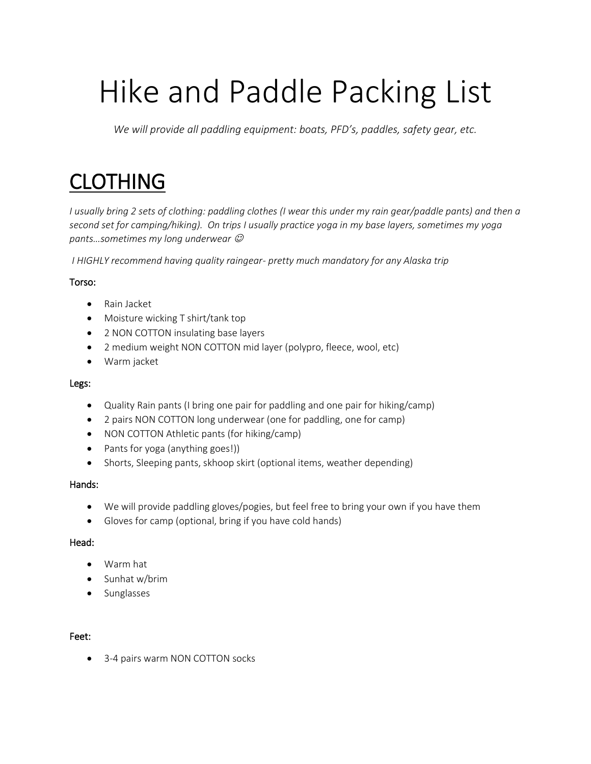# Hike and Paddle Packing List

*We will provide all paddling equipment: boats, PFD's, paddles, safety gear, etc.* 

## CLOTHING

*I usually bring 2 sets of clothing: paddling clothes (I wear this under my rain gear/paddle pants) and then a second set for camping/hiking). On trips I usually practice yoga in my base layers, sometimes my yoga pants…sometimes my long underwear* ☺

*I HIGHLY recommend having quality raingear- pretty much mandatory for any Alaska trip* 

#### Torso:

- Rain Jacket
- Moisture wicking T shirt/tank top
- 2 NON COTTON insulating base layers
- 2 medium weight NON COTTON mid layer (polypro, fleece, wool, etc)
- Warm jacket

#### Legs:

- Quality Rain pants (I bring one pair for paddling and one pair for hiking/camp)
- 2 pairs NON COTTON long underwear (one for paddling, one for camp)
- NON COTTON Athletic pants (for hiking/camp)
- Pants for yoga (anything goes!))
- Shorts, Sleeping pants, skhoop skirt (optional items, weather depending)

#### Hands:

- We will provide paddling gloves/pogies, but feel free to bring your own if you have them
- Gloves for camp (optional, bring if you have cold hands)

#### Head:

- Warm hat
- Sunhat w/brim
- Sunglasses

#### Feet:

• 3-4 pairs warm NON COTTON socks